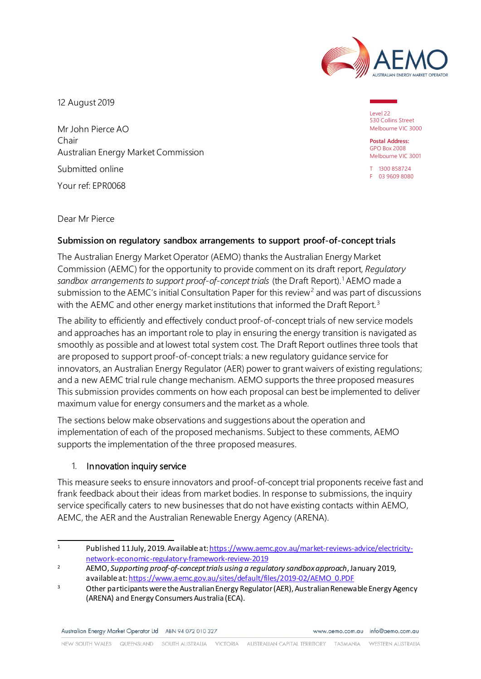

12 August 2019

Mr John Pierce AO Chair Australian Energy Market Commission Submitted online Your ref: EPR0068

Level 22 530 Collins Street Melbourne VIC 3000

**Postal Address:** GPO Box 2008 Melbourne VIC 3001

T 1300 858724 F 03 9609 8080

Dear Mr Pierce

## **Submission on regulatory sandbox arrangements to support proof-of-concept trials**

The Australian Energy Market Operator (AEMO) thanks the Australian Energy Market Commission (AEMC) for the opportunity to provide comment on its draft report, *Regulatory*  sandbox arrangements to support proof-of-concept trials (the Draft Report).<sup>[1](#page-0-0)</sup> AEMO made a submission to the AEMC's initial Consultation Paper for this review<sup>[2](#page-0-1)</sup> and was part of discussions with the AEMC and other energy market institutions that informed the Draft Report.<sup>[3](#page-0-2)</sup>

The ability to efficiently and effectively conduct proof-of-concept trials of new service models and approaches has an important role to play in ensuring the energy transition is navigated as smoothly as possible and at lowest total system cost. The Draft Report outlines three tools that are proposed to support proof-of-concept trials: a new regulatory guidance service for innovators, an Australian Energy Regulator (AER) power to grant waivers of existing regulations; and a new AEMC trial rule change mechanism. AEMO supports the three proposed measures This submission provides comments on how each proposal can best be implemented to deliver maximum value for energy consumers and the market as a whole.

The sections below make observations and suggestions about the operation and implementation of each of the proposed mechanisms. Subject to these comments, AEMO supports the implementation of the three proposed measures.

## 1. Innovation inquiry service

This measure seeks to ensure innovators and proof-of-concept trial proponents receive fast and frank feedback about their ideas from market bodies. In response to submissions, the inquiry service specifically caters to new businesses that do not have existing contacts within AEMO, AEMC, the AER and the Australian Renewable Energy Agency (ARENA).

Australian Energy Market Operator Ltd ABN 94 072 010 327

www.aemo.com.au info@aemo.com.au

<span id="page-0-0"></span> $\overline{1}$ Published 11 July, 2019. Available at[: https://www.aemc.gov.au/market-reviews-advice/electricity](https://www.aemc.gov.au/market-reviews-advice/electricity-network-economic-regulatory-framework-review-2019)[network-economic-regulatory-framework-review-2019](https://www.aemc.gov.au/market-reviews-advice/electricity-network-economic-regulatory-framework-review-2019)

<span id="page-0-1"></span><sup>2</sup> AEMO, *Supporting proof-of-concept trials using a regulatory sandbox approach*, January 2019, available a[t: https://www.aemc.gov.au/sites/default/files/2019-02/AEMO\\_0.PDF](https://www.aemc.gov.au/sites/default/files/2019-02/AEMO_0.PDF)

<span id="page-0-2"></span><sup>&</sup>lt;sup>3</sup> Other participants were the Australian Energy Regulator (AER), Australian Renewable Energy Agency (ARENA) and Energy Consumers Australia (ECA).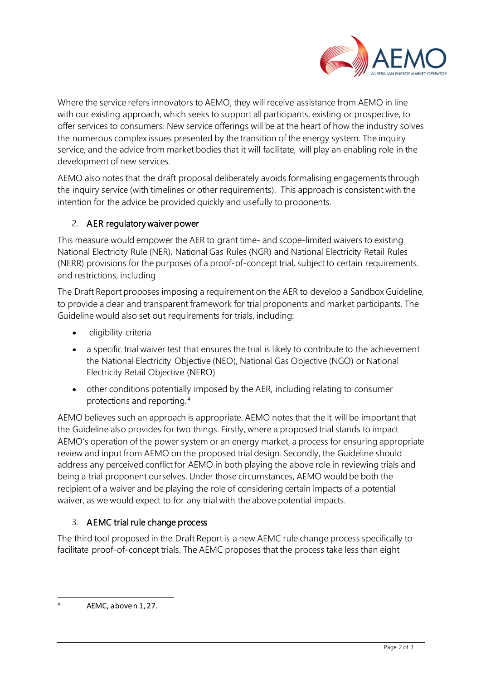

Where the service refers innovators to AEMO, they will receive assistance from AEMO in line with our existing approach, which seeks to support all participants, existing or prospective, to offer services to consumers. New service offerings will be at the heart of how the industry solves the numerous complex issues presented by the transition of the energy system. The inquiry service, and the advice from market bodies that it will facilitate, will play an enabling role in the development of new services.

AEMO also notes that the draft proposal deliberately avoids formalising engagements through the inquiry service (with timelines or other requirements). This approach is consistent with the intention for the advice be provided quickly and usefully to proponents.

## 2. AER regulatory waiver power

This measure would empower the AER to grant time- and scope-limited waivers to existing National Electricity Rule (NER), National Gas Rules (NGR) and National Electricity Retail Rules (NERR) provisions for the purposes of a proof-of-concept trial, subject to certain requirements. and restrictions, including

The Draft Report proposes imposing a requirement on the AER to develop a Sandbox Guideline, to provide a clear and transparent framework for trial proponents and market participants. The Guideline would also set out requirements for trials, including:

- eligibility criteria
- a specific trial waiver test that ensures the trial is likely to contribute to the achievement the National Electricity Objective (NEO), National Gas Objective (NGO) or National Electricity Retail Objective (NERO)
- other conditions potentially imposed by the AER, including relating to consumer protections and reporting.[4](#page-1-0)

AEMO believes such an approach is appropriate. AEMO notes that the it will be important that the Guideline also provides for two things. Firstly, where a proposed trial stands to impact AEMO's operation of the power system or an energy market, a process for ensuring appropriate review and input from AEMO on the proposed trial design. Secondly, the Guideline should address any perceived conflict for AEMO in both playing the above role in reviewing trials and being a trial proponent ourselves. Under those circumstances, AEMO would be both the recipient of a waiver and be playing the role of considering certain impacts of a potential waiver, as we would expect to for any trial with the above potential impacts.

## 3. AEMC trial rule change process

The third tool proposed in the Draft Report is a new AEMC rule change process specifically to facilitate proof-of-concept trials. The AEMC proposes that the process take less than eight

<span id="page-1-0"></span><sup>4</sup> AEMC, above n 1, 27.

-